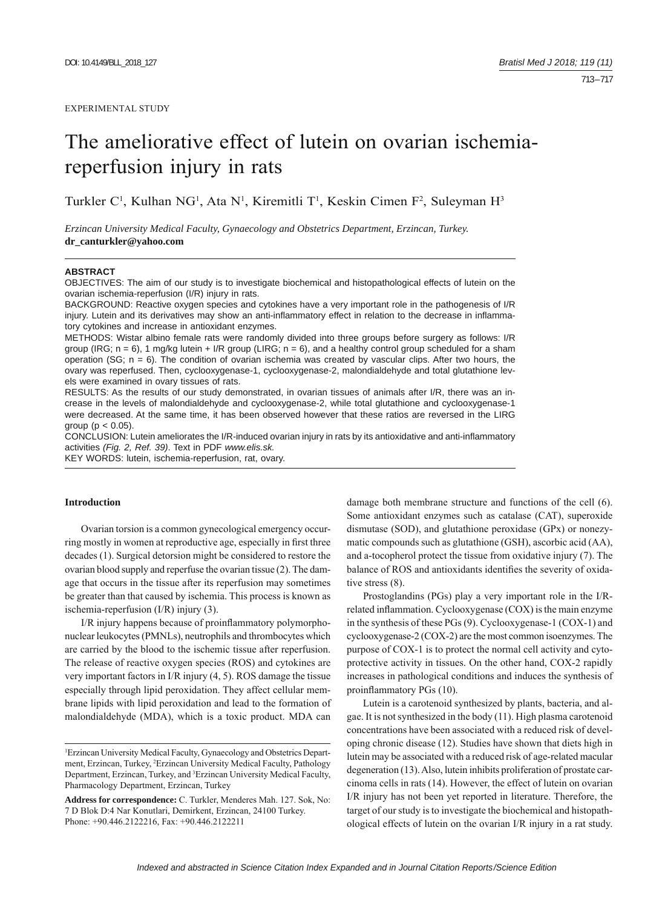# The ameliorative effect of lutein on ovarian ischemiareperfusion injury in rats

Turkler C<sup>1</sup>, Kulhan NG<sup>1</sup>, Ata N<sup>1</sup>, Kiremitli T<sup>1</sup>, Keskin Cimen F<sup>2</sup>, Suleyman H<sup>3</sup>

*Erzincan University Medical Faculty, Gynaecology and Obstetrics Department, Erzincan, Turkey.*  **dr\_canturkler@yahoo.com**

#### **ABSTRACT**

OBJECTIVES: The aim of our study is to investigate biochemical and histopathological effects of lutein on the ovarian ischemia-reperfusion (I/R) injury in rats.

BACKGROUND: Reactive oxygen species and cytokines have a very important role in the pathogenesis of I/R injury. Lutein and its derivatives may show an anti-inflammatory effect in relation to the decrease in inflammatory cytokines and increase in antioxidant enzymes.

METHODS: Wistar albino female rats were randomly divided into three groups before surgery as follows: I/R group (IRG;  $n = 6$ ), 1 mg/kg lutein + I/R group (LIRG;  $n = 6$ ), and a healthy control group scheduled for a sham operation (SG;  $n = 6$ ). The condition of ovarian ischemia was created by vascular clips. After two hours, the ovary was reperfused. Then, cyclooxygenase-1, cyclooxygenase-2, malondialdehyde and total glutathione levels were examined in ovary tissues of rats.

RESULTS: As the results of our study demonstrated, in ovarian tissues of animals after I/R, there was an increase in the levels of malondialdehyde and cyclooxygenase-2, while total glutathione and cyclooxygenase-1 were decreased. At the same time, it has been observed however that these ratios are reversed in the LIRG group ( $p < 0.05$ ).

CONCLUSION: Lutein ameliorates the I/R-induced ovarian injury in rats by its antioxidative and anti-inflammatory activities *(Fig. 2, Ref. 39)*. Text in PDF *www.elis.sk.*

KEY WORDS: lutein, ischemia-reperfusion, rat, ovary.

# **Introduction**

Ovarian torsion is a common gynecological emergency occurring mostly in women at reproductive age, especially in first three decades (1). Surgical detorsion might be considered to restore the ovarian blood supply and reperfuse the ovarian tissue (2). The damage that occurs in the tissue after its reperfusion may sometimes be greater than that caused by ischemia. This process is known as ischemia-reperfusion (I/R) injury (3).

I/R injury happens because of proinflammatory polymorphonuclear leukocytes (PMNLs), neutrophils and thrombocytes which are carried by the blood to the ischemic tissue after reperfusion. The release of reactive oxygen species (ROS) and cytokines are very important factors in I/R injury (4, 5). ROS damage the tissue especially through lipid peroxidation. They affect cellular membrane lipids with lipid peroxidation and lead to the formation of malondialdehyde (MDA), which is a toxic product. MDA can

damage both membrane structure and functions of the cell (6). Some antioxidant enzymes such as catalase (CAT), superoxide dismutase (SOD), and glutathione peroxidase (GPx) or nonezymatic compounds such as glutathione (GSH), ascorbic acid (AA), and a-tocopherol protect the tissue from oxidative injury (7). The balance of ROS and antioxidants identifies the severity of oxidative stress (8).

Prostoglandins (PGs) play a very important role in the I/Rrelated inflammation. Cyclooxygenase (COX) is the main enzyme in the synthesis of these PGs (9). Cyclooxygenase-1 (COX-1) and cyclooxygenase-2 (COX-2) are the most common isoenzymes. The purpose of COX-1 is to protect the normal cell activity and cytoprotective activity in tissues. On the other hand, COX-2 rapidly increases in pathological conditions and induces the synthesis of proinflammatory PGs (10).

Lutein is a carotenoid synthesized by plants, bacteria, and algae. It is not synthesized in the body (11). High plasma carotenoid concentrations have been associated with a reduced risk of developing chronic disease (12). Studies have shown that diets high in lutein may be associated with a reduced risk of age-related macular degeneration (13). Also, lutein inhibits proliferation of prostate carcinoma cells in rats (14). However, the effect of lutein on ovarian I/R injury has not been yet reported in literature. Therefore, the target of our study is to investigate the biochemical and histopathological effects of lutein on the ovarian I/R injury in a rat study.

<sup>1</sup> Erzincan University Medical Faculty, Gynaecology and Obstetrics Department, Erzincan, Turkey, <sup>2</sup>Erzincan University Medical Faculty, Pathology Department, Erzincan, Turkey, and 3 Erzincan University Medical Faculty, Pharmacology Department, Erzincan, Turkey

**Address for correspondence:** C. Turkler, Menderes Mah. 127. Sok, No: 7 D Blok D:4 Nar Konutlari, Demirkent, Erzincan, 24100 Turkey. Phone: +90.446.2122216, Fax: +90.446.2122211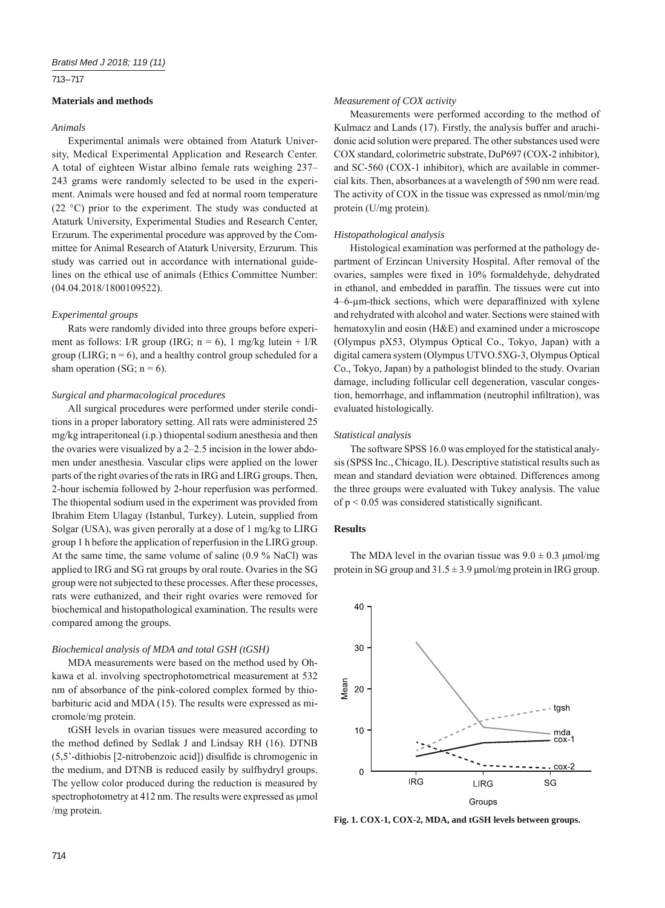## 713 – 717

# **Materials and methods**

# *Animals*

Experimental animals were obtained from Ataturk University, Medical Experimental Application and Research Center. A total of eighteen Wistar albino female rats weighing 237– 243 grams were randomly selected to be used in the experiment. Animals were housed and fed at normal room temperature (22 °C) prior to the experiment. The study was conducted at Ataturk University, Experimental Studies and Research Center, Erzurum. The experimental procedure was approved by the Committee for Animal Research of Ataturk University, Erzurum. This study was carried out in accordance with international guidelines on the ethical use of animals (Ethics Committee Number: (04.04.2018/1800109522).

## *Experimental groups*

Rats were randomly divided into three groups before experiment as follows: I/R group (IRG;  $n = 6$ ), 1 mg/kg lutein + I/R group (LIRG;  $n = 6$ ), and a healthy control group scheduled for a sham operation (SG;  $n = 6$ ).

## *Surgical and pharmacological procedures*

All surgical procedures were performed under sterile conditions in a proper laboratory setting. All rats were administered 25 mg/kg intraperitoneal (i.p.) thiopental sodium anesthesia and then the ovaries were visualized by a 2–2.5 incision in the lower abdomen under anesthesia. Vascular clips were applied on the lower parts of the right ovaries of the rats in IRG and LIRG groups. Then, 2-hour ischemia followed by 2-hour reperfusion was performed. The thiopental sodium used in the experiment was provided from Ibrahim Etem Ulagay (Istanbul, Turkey). Lutein, supplied from Solgar (USA), was given perorally at a dose of 1 mg/kg to LIRG group 1 h before the application of reperfusion in the LIRG group. At the same time, the same volume of saline (0.9 % NaCl) was applied to IRG and SG rat groups by oral route. Ovaries in the SG group were not subjected to these processes. After these processes, rats were euthanized, and their right ovaries were removed for biochemical and histopathological examination. The results were compared among the groups.

#### *Biochemical analysis of MDA and total GSH (tGSH)*

MDA measurements were based on the method used by Ohkawa et al. involving spectrophotometrical measurement at 532 nm of absorbance of the pink-colored complex formed by thiobarbituric acid and MDA (15). The results were expressed as micromole/mg protein.

tGSH levels in ovarian tissues were measured according to the method defined by Sedlak J and Lindsay RH (16). DTNB  $(5.5'$ -dithiobis [2-nitrobenzoic acid]) disulfide is chromogenic in the medium, and DTNB is reduced easily by sulfhydryl groups. The yellow color produced during the reduction is measured by spectrophotometry at 412 nm. The results were expressed as μmol /mg protein.

## *Measurement of COX activity*

Measurements were performed according to the method of Kulmacz and Lands (17). Firstly, the analysis buffer and arachidonic acid solution were prepared. The other substances used were COX standard, colorimetric substrate, DuP697 (COX-2 inhibitor), and SC-560 (COX-1 inhibitor), which are available in commercial kits. Then, absorbances at a wavelength of 590 nm were read. The activity of COX in the tissue was expressed as nmol/min/mg protein (U/mg protein).

#### *Histopathological analysis*

Histological examination was performed at the pathology department of Erzincan University Hospital. After removal of the ovaries, samples were fixed in 10% formaldehyde, dehydrated in ethanol, and embedded in paraffin. The tissues were cut into 4–6-μm-thick sections, which were deparaffinized with xylene and rehydrated with alcohol and water. Sections were stained with hematoxylin and eosin (H&E) and examined under a microscope (Olympus pX53, Olympus Optical Co., Tokyo, Japan) with a digital camera system (Olympus UTVO.5XG-3, Olympus Optical Co., Tokyo, Japan) by a pathologist blinded to the study. Ovarian damage, including follicular cell degeneration, vascular congestion, hemorrhage, and inflammation (neutrophil infiltration), was evaluated histologically.

## *Statistical analysis*

The software SPSS 16.0 was employed for the statistical analysis (SPSS Inc., Chicago, IL). Descriptive statistical results such as mean and standard deviation were obtained. Differences among the three groups were evaluated with Tukey analysis. The value of  $p < 0.05$  was considered statistically significant.

## **Results**

The MDA level in the ovarian tissue was  $9.0 \pm 0.3$  µmol/mg protein in SG group and  $31.5 \pm 3.9$  μmol/mg protein in IRG group.



**Fig. 1. COX-1, COX-2, MDA, and tGSH levels between groups.**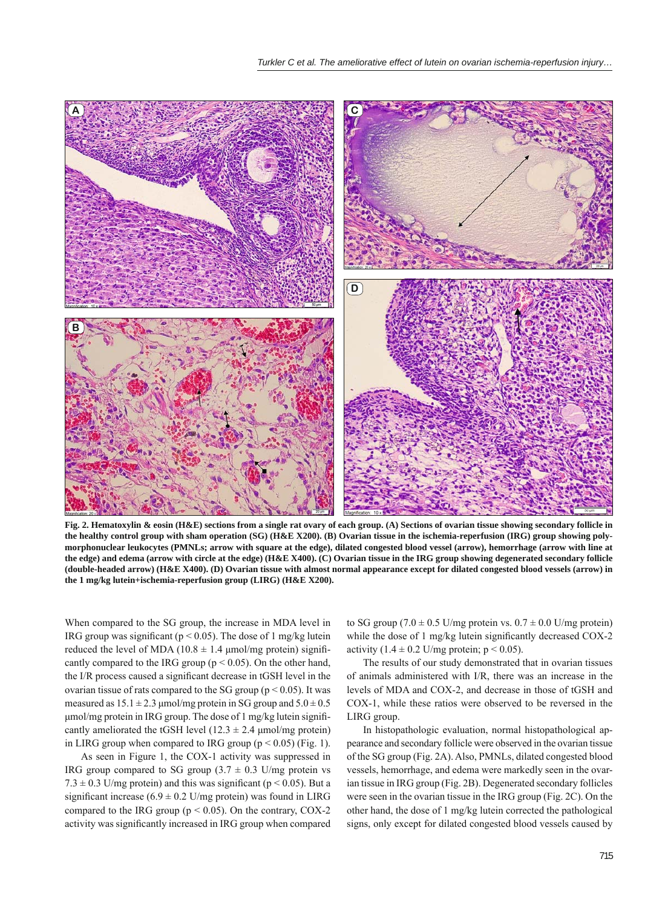

**Fig. 2. Hematoxylin & eosin (H&E) sections from a single rat ovary of each group. (A) Sections of ovarian tissue showing secondary follicle in the healthy control group with sham operation (SG) (H&E X200). (B) Ovarian tissue in the ischemia-reperfusion (IRG) group showing polymorphonuclear leukocytes (PMNLs; arrow with square at the edge), dilated congested blood vessel (arrow), hemorrhage (arrow with line at the edge) and edema (arrow with circle at the edge) (H&E X400). (C) Ovarian tissue in the IRG group showing degenerated secondary follicle (double-headed arrow) (H&E X400). (D) Ovarian tissue with almost normal appearance except for dilated congested blood vessels (arrow) in the 1 mg/kg lutein+ischemia-reperfusion group (LIRG) (H&E X200).**

When compared to the SG group, the increase in MDA level in IRG group was significant ( $p < 0.05$ ). The dose of 1 mg/kg lutein reduced the level of MDA (10.8  $\pm$  1.4 µmol/mg protein) significantly compared to the IRG group ( $p \le 0.05$ ). On the other hand, the I/R process caused a significant decrease in tGSH level in the ovarian tissue of rats compared to the SG group ( $p < 0.05$ ). It was measured as  $15.1 \pm 2.3$  µmol/mg protein in SG group and  $5.0 \pm 0.5$ μmol/mg protein in IRG group. The dose of 1 mg/kg lutein significantly ameliorated the tGSH level  $(12.3 \pm 2.4 \text{ \mu m}$ ol/mg protein) in LIRG group when compared to IRG group ( $p < 0.05$ ) (Fig. 1).

As seen in Figure 1, the COX-1 activity was suppressed in IRG group compared to SG group  $(3.7 \pm 0.3 \text{ U/mg}$  protein vs  $7.3 \pm 0.3$  U/mg protein) and this was significant (p < 0.05). But a significant increase (6.9  $\pm$  0.2 U/mg protein) was found in LIRG compared to the IRG group ( $p < 0.05$ ). On the contrary, COX-2 activity was significantly increased in IRG group when compared

to SG group (7.0  $\pm$  0.5 U/mg protein vs. 0.7  $\pm$  0.0 U/mg protein) while the dose of 1 mg/kg lutein significantly decreased COX-2 activity  $(1.4 \pm 0.2 \text{ U/mg protein}; p \le 0.05)$ .

The results of our study demonstrated that in ovarian tissues of animals administered with I/R, there was an increase in the levels of MDA and COX-2, and decrease in those of tGSH and COX-1, while these ratios were observed to be reversed in the LIRG group.

In histopathologic evaluation, normal histopathological appearance and secondary follicle were observed in the ovarian tissue of the SG group (Fig. 2A). Also, PMNLs, dilated congested blood vessels, hemorrhage, and edema were markedly seen in the ovarian tissue in IRG group (Fig. 2B). Degenerated secondary follicles were seen in the ovarian tissue in the IRG group (Fig. 2C). On the other hand, the dose of 1 mg/kg lutein corrected the pathological signs, only except for dilated congested blood vessels caused by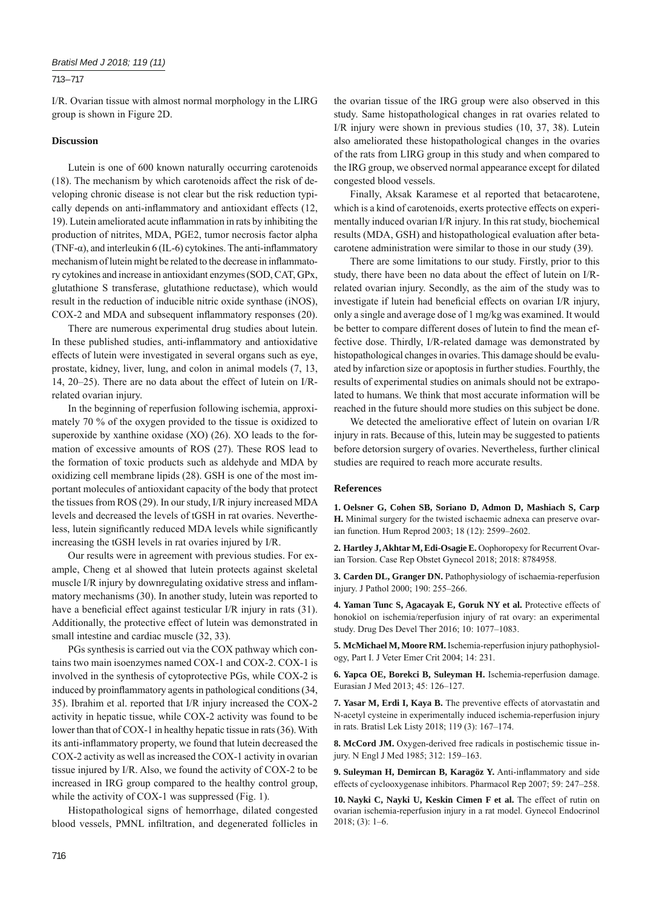## 713 – 717

I/R. Ovarian tissue with almost normal morphology in the LIRG group is shown in Figure 2D.

# **Discussion**

Lutein is one of 600 known naturally occurring carotenoids (18). The mechanism by which carotenoids affect the risk of developing chronic disease is not clear but the risk reduction typically depends on anti-inflammatory and antioxidant effects (12, 19). Lutein ameliorated acute inflammation in rats by inhibiting the production of nitrites, MDA, PGE2, tumor necrosis factor alpha (TNF- $\alpha$ ), and interleukin 6 (IL-6) cytokines. The anti-inflammatory mechanism of lutein might be related to the decrease in inflammatory cytokines and increase in antioxidant enzymes (SOD, CAT, GPx, glutathione S transferase, glutathione reductase), which would result in the reduction of inducible nitric oxide synthase (iNOS), COX-2 and MDA and subsequent inflammatory responses (20).

There are numerous experimental drug studies about lutein. In these published studies, anti-inflammatory and antioxidative effects of lutein were investigated in several organs such as eye, prostate, kidney, liver, lung, and colon in animal models (7, 13, 14, 20–25). There are no data about the effect of lutein on I/Rrelated ovarian injury.

In the beginning of reperfusion following ischemia, approximately 70 % of the oxygen provided to the tissue is oxidized to superoxide by xanthine oxidase (XO) (26). XO leads to the formation of excessive amounts of ROS (27). These ROS lead to the formation of toxic products such as aldehyde and MDA by oxidizing cell membrane lipids (28). GSH is one of the most important molecules of antioxidant capacity of the body that protect the tissues from ROS (29). In our study, I/R injury increased MDA levels and decreased the levels of tGSH in rat ovaries. Nevertheless, lutein significantly reduced MDA levels while significantly increasing the tGSH levels in rat ovaries injured by I/R.

Our results were in agreement with previous studies. For example, Cheng et al showed that lutein protects against skeletal muscle I/R injury by downregulating oxidative stress and inflammatory mechanisms (30). In another study, lutein was reported to have a beneficial effect against testicular  $I/R$  injury in rats (31). Additionally, the protective effect of lutein was demonstrated in small intestine and cardiac muscle (32, 33).

PGs synthesis is carried out via the COX pathway which contains two main isoenzymes named COX-1 and COX-2. COX-1 is involved in the synthesis of cytoprotective PGs, while COX-2 is induced by proinflammatory agents in pathological conditions (34, 35). Ibrahim et al. reported that I/R injury increased the COX-2 activity in hepatic tissue, while COX-2 activity was found to be lower than that of COX-1 in healthy hepatic tissue in rats (36). With its anti-inflammatory property, we found that lutein decreased the COX-2 activity as well as increased the COX-1 activity in ovarian tissue injured by I/R. Also, we found the activity of COX-2 to be increased in IRG group compared to the healthy control group, while the activity of COX-1 was suppressed (Fig. 1).

Histopathological signs of hemorrhage, dilated congested blood vessels, PMNL infiltration, and degenerated follicles in the ovarian tissue of the IRG group were also observed in this study. Same histopathological changes in rat ovaries related to I/R injury were shown in previous studies (10, 37, 38). Lutein also ameliorated these histopathological changes in the ovaries of the rats from LIRG group in this study and when compared to the IRG group, we observed normal appearance except for dilated congested blood vessels.

Finally, Aksak Karamese et al reported that betacarotene, which is a kind of carotenoids, exerts protective effects on experimentally induced ovarian I/R injury. In this rat study, biochemical results (MDA, GSH) and histopathological evaluation after betacarotene administration were similar to those in our study (39).

There are some limitations to our study. Firstly, prior to this study, there have been no data about the effect of lutein on I/Rrelated ovarian injury. Secondly, as the aim of the study was to investigate if lutein had beneficial effects on ovarian I/R injury, only a single and average dose of 1 mg/kg was examined. It would be better to compare different doses of lutein to find the mean effective dose. Thirdly, I/R-related damage was demonstrated by histopathological changes in ovaries. This damage should be evaluated by infarction size or apoptosis in further studies. Fourthly, the results of experimental studies on animals should not be extrapolated to humans. We think that most accurate information will be reached in the future should more studies on this subject be done.

We detected the ameliorative effect of lutein on ovarian I/R injury in rats. Because of this, lutein may be suggested to patients before detorsion surgery of ovaries. Nevertheless, further clinical studies are required to reach more accurate results.

## **References**

**1. Oelsner G, Cohen SB, Soriano D, Admon D, Mashiach S, Carp H.** Minimal surgery for the twisted ischaemic adnexa can preserve ovarian function. Hum Reprod 2003; 18 (12): 2599–2602.

**2. Hartley J, Akhtar M, Edi-Osagie E.** Oophoropexy for Recurrent Ovarian Torsion. Case Rep Obstet Gynecol 2018; 2018: 8784958.

**3. Carden DL, Granger DN.** Pathophysiology of ischaemia-reperfusion injury. J Pathol 2000; 190: 255–266.

**4. Yaman Tunc S, Agacayak E, Goruk NY et al.** Protective effects of honokiol on ischemia/reperfusion injury of rat ovary: an experimental study. Drug Des Devel Ther 2016; 10: 1077–1083.

**5. McMichael M, Moore RM.** Ischemia-reperfusion injury pathophysiology, Part I. J Veter Emer Crit 2004; 14: 231.

**6. Yapca OE, Borekci B, Suleyman H.** Ischemia-reperfusion damage. Eurasian J Med 2013; 45: 126–127.

**7. Yasar M, Erdi I, Kaya B.** The preventive effects of atorvastatin and N-acetyl cysteine in experimentally induced ischemia-reperfusion injury in rats. Bratisl Lek Listy 2018; 119 (3): 167–174.

**8. McCord JM.** Oxygen-derived free radicals in postischemic tissue injury. N Engl J Med 1985; 312: 159–163.

9. Suleyman H, Demircan B, Karagöz Y. Anti-inflammatory and side effects of cyclooxygenase inhibitors. Pharmacol Rep 2007; 59: 247–258.

**10. Nayki C, Nayki U, Keskin Cimen F et al.** The effect of rutin on ovarian ischemia-reperfusion injury in a rat model. Gynecol Endocrinol 2018; (3): 1–6.